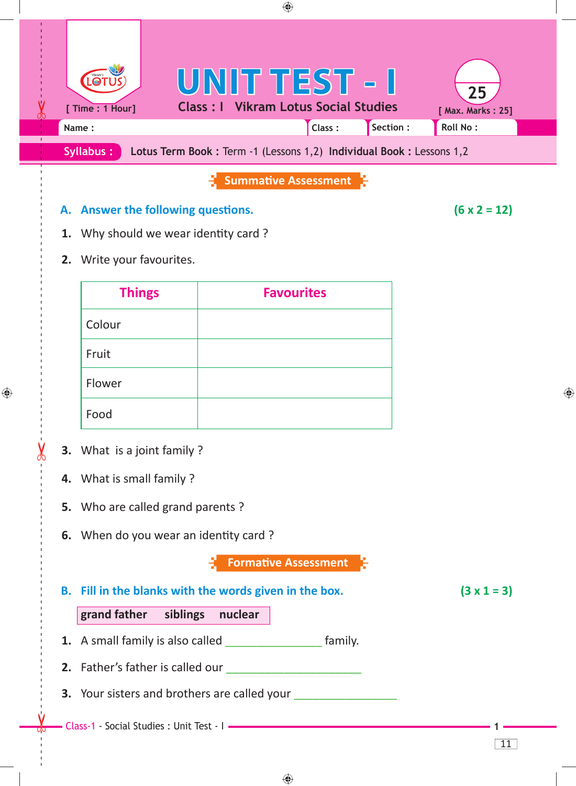

**A.** Answer the following questions.  $(6 \times 2 = 12)$ 

◈

- **1.** Why should we wear identity card?
- **2.** Write your favourites.

| <b>Things</b> | <b>Favourites</b> |
|---------------|-------------------|
| Colour        |                   |
| Fruit         |                   |
| Flower        |                   |
| Food          |                   |

 **3.** What is a joint family ?

 $\bigoplus$ 

- **4.** What is small family ?
- **5.** Who are called grand parents ?
- **6.** When do you wear an identity card?

**FormaƟ ve Assessment**

| B. Fill in the blanks with the words given in the box. | $(3 \times 1 = 3)$ |
|--------------------------------------------------------|--------------------|
| grand father siblings<br>nuclear                       |                    |
| family.<br>1. A small family is also called            |                    |
| 2. Father's father is called our                       |                    |
| <b>3.</b> Your sisters and brothers are called your    |                    |
|                                                        |                    |